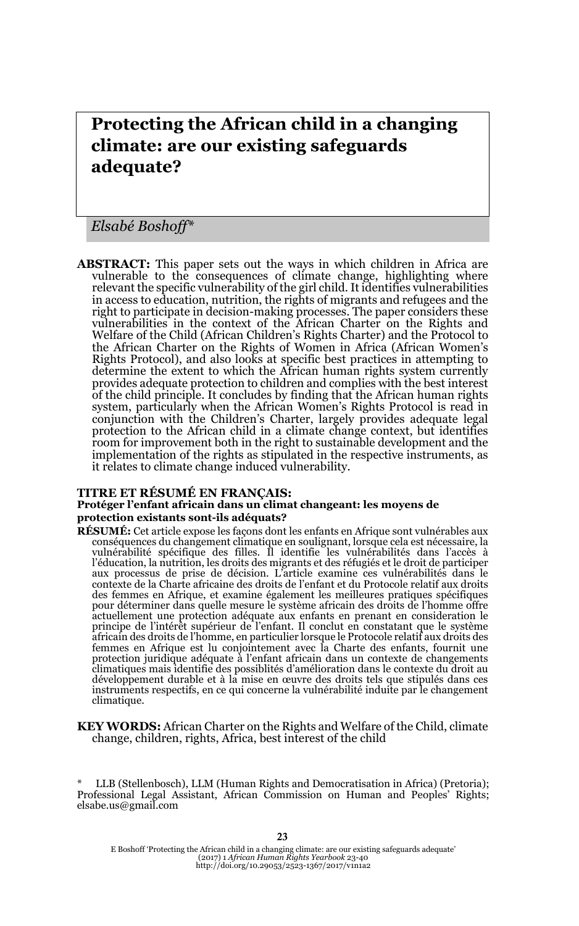# **Protecting the African child in a changing climate: are our existing safeguards adequate?**

*Elsabé Boshoff\**

**ABSTRACT:** This paper sets out the ways in which children in Africa are vulnerable to the consequences of climate change, highlighting where relevant the specific vulnerability of the girl child. It identifies vulnerabilities in access to education, nutrition, the rights of migrants and refugees and the right to participate in decision-making processes. The paper considers these vulnerabilities in the context of the African Charter on the Rights and Welfare of the Child (African Children's Rights Charter) and the Protocol to the African Charter on the Rights of Women in Africa (African Women's Rights Protocol), and also looks at specific best practices in attempting to determine the extent to which the African human rights system currently provides adequate protection to children and complies with the best interest of the child principle. It concludes by finding that the African human rights system, particularly when the African Women's Rights Protocol is read in conjunction with the Children's Charter, largely provides adequate legal protection to the African child in a climate change context, but identifies room for improvement both in the right to sustainable development and the implementation of the rights as stipulated in the respective instruments, as it relates to climate change induced vulnerability.

#### **TITRE ET RÉSUMÉ EN FRANÇAIS: Protéger l'enfant africain dans un climat changeant: les moyens de protection existants sont-ils adéquats?**

- **RÉSUMÉ:** Cet article expose les façons dont les enfants en Afrique sont vulnérables aux conséquences du changement climatique en soulignant, lorsque cela est nécessaire, la vulnérabilité spécifique des filles. Il identifie les vulnérabilités dans l'accès à l'éducation, la nutrition, les droits des migrants et des réfugiés et le droit de participer aux processus de prise de décision. L'article examine ces vulnérabilités dans le contexte de la Charte africaine des droits de l'enfant et du Protocole relatif aux droits des femmes en Afrique, et examine également les meilleures pratiques spécifiques pour déterminer dans quelle mesure le système africain des droits de l'homme offre actuellement une protection adéquate aux enfants en prenant en consideration le principe de l'intérêt supérieur de l'enfant. Il conclut en constatant que le système africain des droits de l'homme, en particulier lorsque le Protocole relatif aux droits des femmes en Afrique est lu conjointement avec la Charte des enfants, fournit une protection juridique adéquate à l'enfant africain dans un contexte de changements climatiques mais identifie des possiblités d'amélioration dans le contexte du droit au développement durable et à la mise en œuvre des droits tels que stipulés dans ces instruments respectifs, en ce qui concerne la vulnérabilité induite par le changement climatique.
- **KEY WORDS:** African Charter on the Rights and Welfare of the Child, climate change, children, rights, Africa, best interest of the child

\* LLB (Stellenbosch), LLM (Human Rights and Democratisation in Africa) (Pretoria); Professional Legal Assistant, African Commission on Human and Peoples' Rights; elsabe.us@gmail.com

E Boshoff 'Protecting the African child in a changing climate: are our existing safeguards adequate' (2017) 1 *African Human Rights Yearbook* 23-40 http://doi.org/10.29053/2523-1367/2017/v1n1a2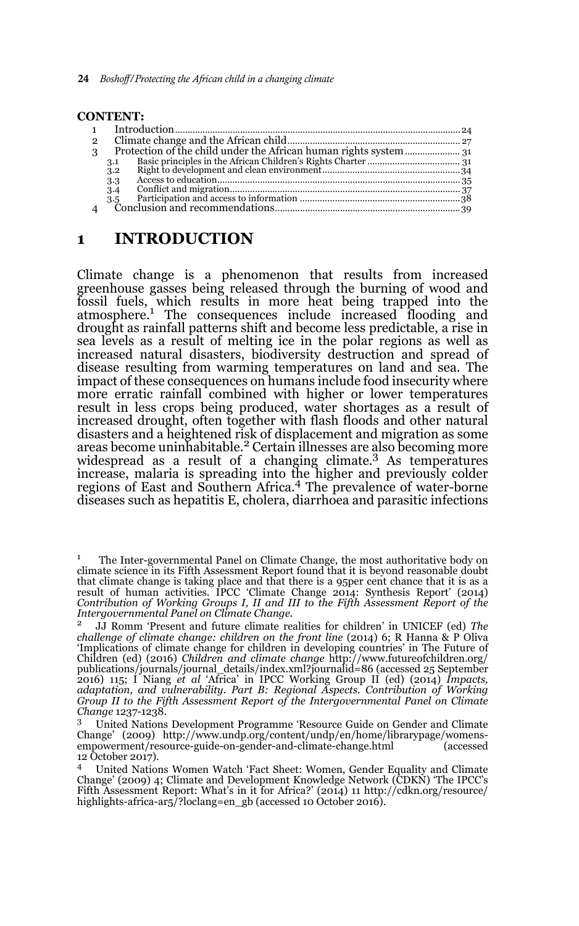|              | <b>CONTENT:</b> |  |
|--------------|-----------------|--|
|              |                 |  |
|              |                 |  |
| $\mathbf{2}$ |                 |  |
| 3            |                 |  |
|              | 3.1             |  |
|              | 3.2             |  |
|              | 3.3             |  |
|              | 3.4             |  |
|              | 3.5             |  |
|              |                 |  |
|              |                 |  |

## **1 INTRODUCTION**

Climate change is a phenomenon that results from increased greenhouse gasses being released through the burning of wood and fossil fuels, which results in more heat being trapped into the atmosphere.<sup>1</sup> The consequences include increased flooding and drought as rainfall patterns shift and become less predictable, a rise in sea levels as a result of melting ice in the polar regions as well as increased natural disasters, biodiversity destruction and spread of disease resulting from warming temperatures on land and sea. The impact of these consequences on humans include food insecurity where more erratic rainfall combined with higher or lower temperatures result in less crops being produced, water shortages as a result of increased drought, often together with flash floods and other natural disasters and a heightened risk of displacement and migration as some areas become uninhabitable.2 Certain illnesses are also becoming more widespread as a result of a changing climate.<sup>3</sup> As temperatures increase, malaria is spreading into the higher and previously colder regions of East and Southern Africa.4 The prevalence of water-borne diseases such as hepatitis E, cholera, diarrhoea and parasitic infections

<sup>&</sup>lt;sup>1</sup> The Inter-governmental Panel on Climate Change, the most authoritative body on climate science in its Fifth Assessment Report found that it is beyond reasonable doubt that climate change is taking place and that there is a 95per cent chance that it is as a result of human activities. IPCC 'Climate Change 2014: Synthesis Report' (2014) *Contribution of Working Groups I, II and III to the Fifth Assessment Report of the Intergovernmental Panel on Climate Change*.

<sup>2</sup> JJ Romm 'Present and future climate realities for children' in UNICEF (ed) *The challenge of climate change: children on the front line* (2014) 6; R Hanna & P Oliva 'Implications of climate change for children in developing countries' in The Future of Children (ed) (2016) *Children and climate change* http://www.futureofchildren.org/ publications/journals/journal\_details/index.xml?journalid=86 (accessed 25 September 2016) 115; I Niang *et al* 'Africa' in IPCC Working Group II (ed) (2014) *Impacts, adaptation, and vulnerability. Part B: Regional Aspects. Contribution of Working Group II to the Fifth Assessment Report of the Intergovernmental Panel on Climate Change* 1237-1238.

<sup>3</sup> United Nations Development Programme 'Resource Guide on Gender and Climate Change' (2009) http://www.undp.org/content/undp/en/home/librarypage/womensempowerment/resource-guide-on-gender-and-climate-change.html (accessed 12 October 2017).

<sup>4</sup> United Nations Women Watch 'Fact Sheet: Women, Gender Equality and Climate Change' (2009) 4; Climate and Development Knowledge Network (CDKN) 'The IPCC's Fifth Assessment Report: What's in it for Africa?' (2014) 11 http://cdkn.org/resource/ highlights-africa-ar5/?loclang=en\_gb (accessed 10 October 2016).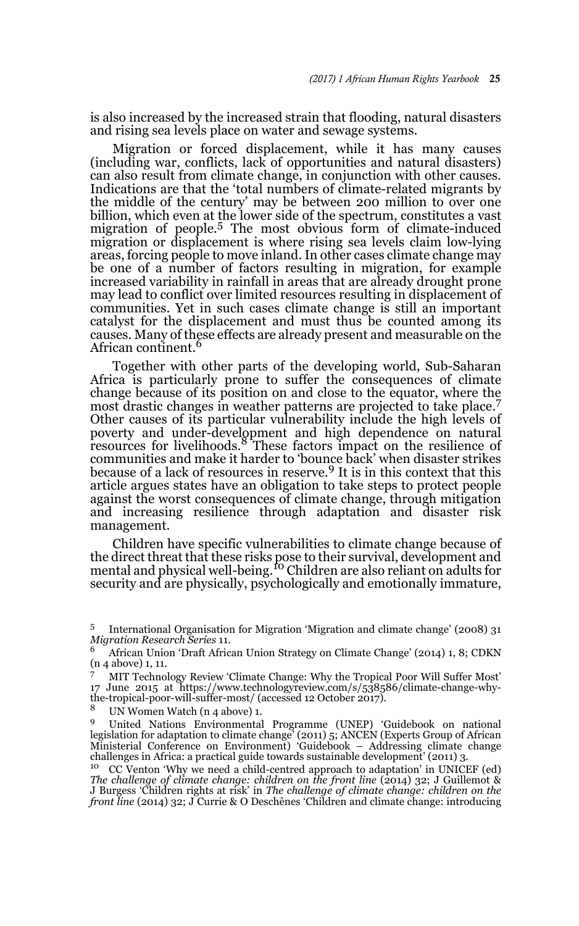is also increased by the increased strain that flooding, natural disasters and rising sea levels place on water and sewage systems.

Migration or forced displacement, while it has many causes (including war, conflicts, lack of opportunities and natural disasters) can also result from climate change, in conjunction with other causes. Indications are that the 'total numbers of climate-related migrants by the middle of the century' may be between 200 million to over one billion, which even at the lower side of the spectrum, constitutes a vast migration of people.<sup>5</sup> The most obvious form of climate-induced migration or displacement is where rising sea levels claim low-lying areas, forcing people to move inland. In other cases climate change may be one of a number of factors resulting in migration, for example increased variability in rainfall in areas that are already drought prone may lead to conflict over limited resources resulting in displacement of communities. Yet in such cases climate change is still an important catalyst for the displacement and must thus be counted among its causes. Many of these effects are already present and measurable on the African continent.<sup>6</sup>

Together with other parts of the developing world, Sub-Saharan Africa is particularly prone to suffer the consequences of climate change because of its position on and close to the equator, where the most drastic changes in weather patterns are projected to take place.<sup>7</sup> Other causes of its particular vulnerability include the high levels of poverty and under-development and high dependence on natural resources for livelihoods.<sup>8</sup> These factors impact on the resilience of communities and make it harder to 'bounce back' when disaster strikes because of a lack of resources in reserve.<sup>9</sup> It is in this context that this article argues states have an obligation to take steps to protect people against the worst consequences of climate change, through mitigation and increasing resilience through adaptation and disaster risk management.

Children have specific vulnerabilities to climate change because of the direct threat that these risks pose to their survival, development and mental and physical well-being.<sup>10</sup> Children are also reliant on adults for security and are physically, psychologically and emotionally immature,

<sup>8</sup> UN Women Watch (n 4 above) 1.

<sup>9</sup> United Nations Environmental Programme (UNEP) 'Guidebook on national legislation for adaptation to climate change' (2011) 5; ANCEN (Experts Group of African Ministerial Conference on Environment) 'Guidebook – Addressing climate change challenges in Africa: a practical guide towards sustainable development' (2011) 3.

<sup>10</sup> CC Venton 'Why we need a child-centred approach to adaptation' in UNICEF (ed) *The challenge of climate change: children on the front line* (2014) 32; J Guillemot & J Burgess 'Children rights at risk' in *The challenge of climate change: children on the front line* (2014) 32; J Currie & O Deschênes 'Children and climate change: introducing

<sup>5</sup> International Organisation for Migration 'Migration and climate change' (2008) 31 *Migration Research Series* 11.

<sup>6</sup> African Union 'Draft African Union Strategy on Climate Change' (2014) 1, 8; CDKN (n 4 above) 1, 11.

<sup>7</sup> MIT Technology Review 'Climate Change: Why the Tropical Poor Will Suffer Most' 17 June 2015 at https://www.technologyreview.com/s/538586/climate-change-whythe-tropical-poor-will-suffer-most/ (accessed 12 October 2017).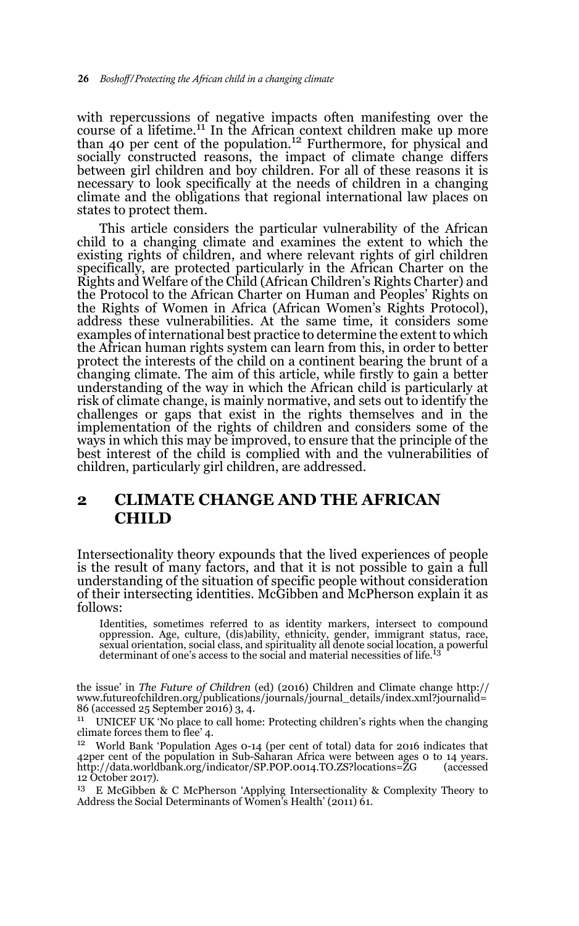with repercussions of negative impacts often manifesting over the course of a lifetime.<sup>11</sup> In the African context children make up more than 40 per cent of the population.<sup>12</sup> Furthermore, for physical and socially constructed reasons, the impact of climate change differs between girl children and boy children. For all of these reasons it is necessary to look specifically at the needs of children in a changing climate and the obligations that regional international law places on states to protect them.

This article considers the particular vulnerability of the African child to a changing climate and examines the extent to which the existing rights of children, and where relevant rights of girl children specifically, are protected particularly in the African Charter on the Rights and Welfare of the Child (African Children's Rights Charter) and the Protocol to the African Charter on Human and Peoples' Rights on the Rights of Women in Africa (African Women's Rights Protocol), address these vulnerabilities. At the same time, it considers some examples of international best practice to determine the extent to which the African human rights system can learn from this, in order to better protect the interests of the child on a continent bearing the brunt of a changing climate. The aim of this article, while firstly to gain a better understanding of the way in which the African child is particularly at risk of climate change, is mainly normative, and sets out to identify the challenges or gaps that exist in the rights themselves and in the implementation of the rights of children and considers some of the ways in which this may be improved, to ensure that the principle of the best interest of the child is complied with and the vulnerabilities of children, particularly girl children, are addressed.

## **2 CLIMATE CHANGE AND THE AFRICAN CHILD**

Intersectionality theory expounds that the lived experiences of people is the result of many factors, and that it is not possible to gain a full understanding of the situation of specific people without consideration of their intersecting identities. McGibben and McPherson explain it as follows:

Identities, sometimes referred to as identity markers, intersect to compound<br>oppression. Age, culture, (dis)ability, ethnicity, gender, immigrant status, race,<br>sexual orientation, social class, and spirituality all denote determinant of one's access to the social and material necessities of life.

the issue' in *The Future of Children* (ed) (2016) Children and Climate change http:// www.futureofchildren.org/publications/journals/journal\_details/index.xml?journalid= 86 (accessed 25 September 2016) 3, 4.

<sup>11</sup> UNICEF UK 'No place to call home: Protecting children's rights when the changing climate forces them to flee' 4.

<sup>12</sup> World Bank 'Population Ages 0-14 (per cent of total) data for 2016 indicates that 42per cent of the population in Sub-Saharan Africa were between ages 0 to 14 years.<br>http://data.worldbank.org/indicator/SP.POP.0014.TO.ZS?locations=ZG (accessed http://data.worldbank.org/indicator/SP.POP.0014.TO.ZS?locations=ZG 12 October 2017).

<sup>13</sup> E McGibben & C McPherson 'Applying Intersectionality & Complexity Theory to Address the Social Determinants of Women's Health' (2011) 61.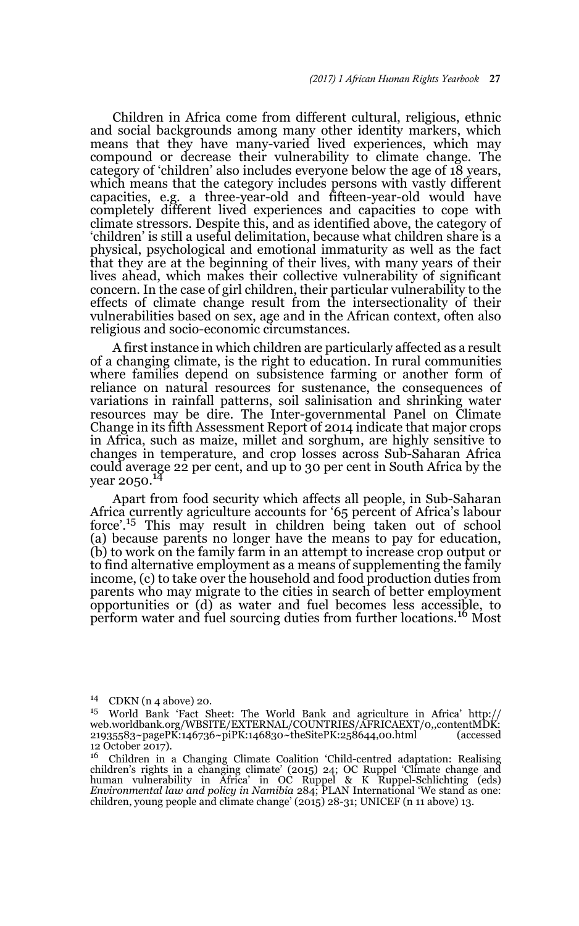Children in Africa come from different cultural, religious, ethnic and social backgrounds among many other identity markers, which means that they have many-varied lived experiences, which may compound or decrease their vulnerability to climate change. The category of 'children' also includes everyone below the age of 18 years, which means that the category includes persons with vastly different capacities, e.g. a three-year-old and fifteen-year-old would have completely different lived experiences and capacities to cope with climate stressors. Despite this, and as identified above, the category of 'children' is still a useful delimitation, because what children share is a physical, psychological and emotional immaturity as well as the fact that they are at the beginning of their lives, with many years of their lives ahead, which makes their collective vulnerability of significant concern. In the case of girl children, their particular vulnerability to the effects of climate change result from the intersectionality of their vulnerabilities based on sex, age and in the African context, often also religious and socio-economic circumstances.

A first instance in which children are particularly affected as a result of a changing climate, is the right to education. In rural communities where families depend on subsistence farming or another form of reliance on natural resources for sustenance, the consequences of variations in rainfall patterns, soil salinisation and shrinking water resources may be dire. The Inter-governmental Panel on Climate Change in its fifth Assessment Report of 2014 indicate that major crops in Africa, such as maize, millet and sorghum, are highly sensitive to changes in temperature, and crop losses across Sub-Saharan Africa could average 22 per cent, and up to 30 per cent in South Africa by the year 2050.<sup>14</sup>

Apart from food security which affects all people, in Sub-Saharan Africa currently agriculture accounts for '65 percent of Africa's labour force'.15 This may result in children being taken out of school (a) because parents no longer have the means to pay for education, (b) to work on the family farm in an attempt to increase crop output or to find alternative employment as a means of supplementing the family income, (c) to take over the household and food production duties from parents who may migrate to the cities in search of better employment opportunities or (d) as water and fuel becomes less accessible, to perform water and fuel sourcing duties from further locations.16 Most

<sup>14</sup> CDKN (n 4 above) 20.

<sup>15</sup> World Bank 'Fact Sheet: The World Bank and agriculture in Africa' http:// web.worldbank.org/WBSITE/EXTERNAL/COUNTRIES/AFRICAEXT/0,,contentMDK:<br>21935583~pagePK:146736~piPK:146830~theSitePK:258644.00.html (accessed 21935583~pagePK:146736~piPK:146830~theSitePK:258644,00.html  $12$  October 2017).

<sup>&</sup>lt;sup>16</sup> Children in a Changing Climate Coalition 'Child-centred adaptation: Realising children's rights in a changing climate' (2015) 24; OC Ruppel 'Climate change and human vulnerability in Africa' in OC Ruppel & K Ruppel-Schlichting (eds) *Environmental law and policy in Namibia* 284; PLAN International 'We stand as one: children, young people and climate change' (2015) 28-31; UNICEF (n 11 above) 13.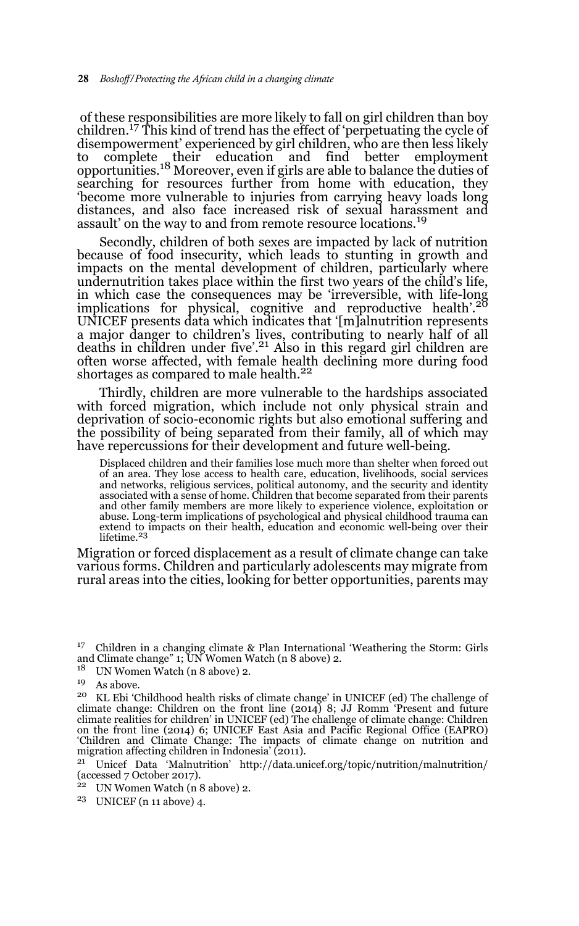of these responsibilities are more likely to fall on girl children than boy children.<sup>17</sup> This kind of trend has the effect of 'perpetuating the cycle of disempowerment' experienced by girl children, who are then less likely to complete their education and find better employment<br>opportunities.<sup>18</sup> Moreover, even if girls are able to balance the duties of searching for resources further from home with education, they 'become more vulnerable to injuries from carrying heavy loads long distances, and also face increased risk of sexual harassment and assault' on the way to and from remote resource locations.<sup>19</sup>

Secondly, children of both sexes are impacted by lack of nutrition because of food insecurity, which leads to stunting in growth and impacts on the mental development of children, particularly where undernutrition takes place within the first two years of the child's life, in which case the consequences may be 'irreversible, with life-long<br>implications for physical, cognitive and reproductive health'.<sup>20</sup> UNICEF presents data which indicates that '[m]alnutrition represents a major danger to children's lives, contributing to nearly half of all deaths in children under five'.21 Also in this regard girl children are often worse affected, with female health declining more during food shortages as compared to male health.<sup>22</sup>

Thirdly, children are more vulnerable to the hardships associated with forced migration, which include not only physical strain and deprivation of socio-economic rights but also emotional suffering and the possibility of being separated from their family, all of which may have repercussions for their development and future well-being.

Displaced children and their families lose much more than shelter when forced out of an area. They lose access to health care, education, livelihoods, social services and networks, religious services, political autonomy, and the security and identity associated with a sense of home. Children that become separated from their parents and other family members are more likely to experience violence, exploitation or abuse. Long-term implications of psychological and physical childhood trauma can extend to impacts on their health, education and economic well-being over their lifetime.<sup>23</sup>

Migration or forced displacement as a result of climate change can take various forms. Children and particularly adolescents may migrate from rural areas into the cities, looking for better opportunities, parents may

- <sup>22</sup> UN Women Watch (n 8 above) 2.
- <sup>23</sup> UNICEF (n 11 above) 4.

<sup>&</sup>lt;sup>17</sup> Children in a changing climate & Plan International 'Weathering the Storm: Girls and Climate change" 1; UN Women Watch (n 8 above) 2.

<sup>18</sup> UN Women Watch (n 8 above) 2.

 $19$   $\,$  As above.

<sup>20</sup> KL Ebi 'Childhood health risks of climate change' in UNICEF (ed) The challenge of climate change: Children on the front line (2014) 8; JJ Romm 'Present and future climate realities for children' in UNICEF (ed) The challenge of climate change: Children on the front line (2014) 6; UNICEF East Asia and Pacific Regional Office (EAPRO) 'Children and Climate Change: The impacts of climate change on nutrition and migration affecting children in Indonesia' (2011).

<sup>21</sup> Unicef Data 'Malnutrition' http://data.unicef.org/topic/nutrition/malnutrition/ (accessed 7 October 2017).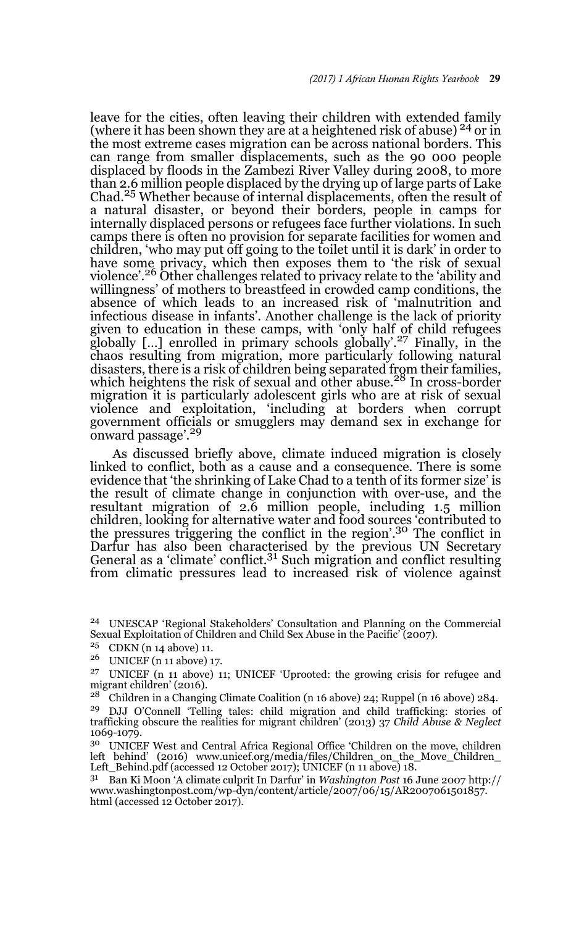leave for the cities, often leaving their children with extended family (where it has been shown they are at a heightened risk of abuse)  $^{24}$  or in the most extreme cases migration can be across national borders. This can range from smaller displacements, such as the 90 000 people displaced by floods in the Zambezi River Valley during 2008, to more than 2.6 million people displaced by the drying up of large parts of Lake Chad.25 Whether because of internal displacements, often the result of a natural disaster, or beyond their borders, people in camps for internally displaced persons or refugees face further violations. In such camps there is often no provision for separate facilities for women and children, 'who may put off going to the toilet until it is dark' in order to have some privacy, which then exposes them to 'the risk of sexual violence'.<sup>26</sup> Other challenges related to privacy relate to the 'ability and willingness' of mothers to breastfeed in crowded camp conditions, the absence of which leads to an increased risk of 'malnutrition and infectious disease in infants'. Another challenge is the lack of priority given to education in these camps, with 'only half of child refugees globally […] enrolled in primary schools globally'.27 Finally, in the chaos resulting from migration, more particularly following natural disasters, there is a risk of children being separated from their families,<br>which heightens the risk of sexual and other abuse.<sup>28</sup> In cross-border migration it is particularly adolescent girls who are at risk of sexual violence and exploitation, 'including at borders when corrupt government officials or smugglers may demand sex in exchange for onward passage'.<sup>29</sup>

As discussed briefly above, climate induced migration is closely linked to conflict, both as a cause and a consequence. There is some evidence that 'the shrinking of Lake Chad to a tenth of its former size' is the result of climate change in conjunction with over-use, and the resultant migration of 2.6 million people, including 1.5 million children, looking for alternative water and food sources 'contributed to the pressures triggering the conflict in the region'.30 The conflict in Darfur has also been characterised by the previous UN Secretary General as a 'climate' conflict. $3<sup>1</sup>$  Such migration and conflict resulting from climatic pressures lead to increased risk of violence against

<sup>30</sup> UNICEF West and Central Africa Regional Office 'Children on the move, children left behind' (2016) www.unicef.org/media/files/Children\_on\_the\_Move\_Children\_ Left\_Behind.pdf (accessed 12 October 2017); UNICEF (n 11 above) 18.

<sup>31</sup> Ban Ki Moon 'A climate culprit In Darfur' in *Washington Post* 16 June 2007 http:// www.washingtonpost.com/wp-dyn/content/article/2007/06/15/AR2007061501857. html (accessed 12 October 2017).

<sup>24</sup> UNESCAP 'Regional Stakeholders' Consultation and Planning on the Commercial Sexual Exploitation of Children and Child Sex Abuse in the Pacific' (2007).

<sup>25</sup> CDKN (n 14 above) 11.

<sup>26</sup> UNICEF (n 11 above) 17.

<sup>27</sup> UNICEF (n 11 above) 11; UNICEF 'Uprooted: the growing crisis for refugee and migrant children' (2016).<br> $^{28}$  Children in a Changis

<sup>28</sup> Children in a Changing Climate Coalition (n 16 above) 24; Ruppel (n 16 above) 284.

<sup>29</sup> DJJ O'Connell 'Telling tales: child migration and child trafficking: stories of trafficking obscure the realities for migrant children' (2013) 37 *Child Abuse & Neglect* 1069-1079.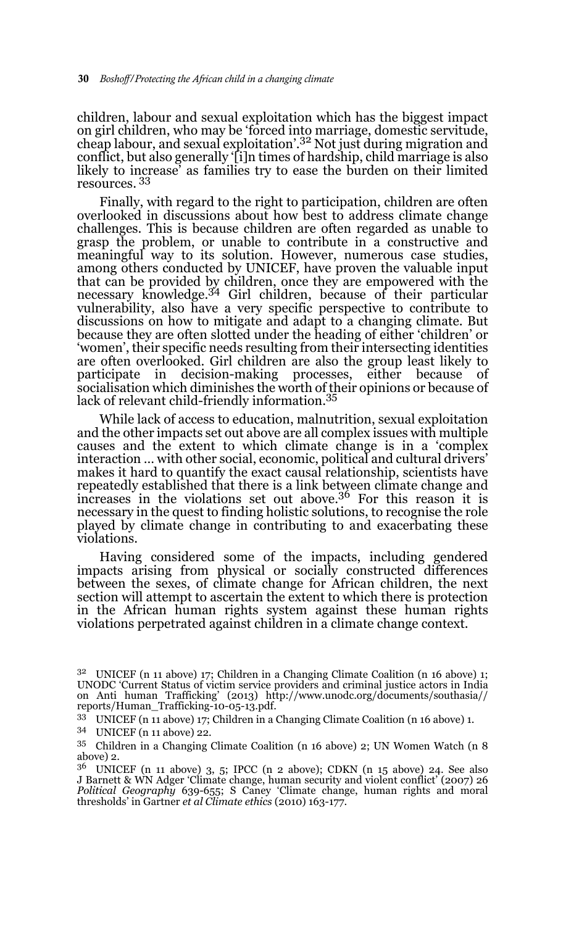children, labour and sexual exploitation which has the biggest impact on girl children, who may be 'forced into marriage, domestic servitude, cheap labour, and sexual exploitation'.32 Not just during migration and conflict, but also generally '[i]n times of hardship, child marriage is also likely to increase' as families try to ease the burden on their limited resources. 33

Finally, with regard to the right to participation, children are often overlooked in discussions about how best to address climate change challenges. This is because children are often regarded as unable to grasp the problem, or unable to contribute in a constructive and meaningful way to its solution. However, numerous case studies, among others conducted by UNICEF, have proven the valuable input that can be provided by children, once they are empowered with the necessary knowledge.34 Girl children, because of their particular vulnerability, also have a very specific perspective to contribute to discussions on how to mitigate and adapt to a changing climate. But because they are often slotted under the heading of either 'children' or 'women', their specific needs resulting from their intersecting identities are often overlooked. Girl children are also the group least likely to participate in decision-making processes, either because of socialisation which diminishes the worth of their opinions or because of lack of relevant child-friendly information.35

While lack of access to education, malnutrition, sexual exploitation and the other impacts set out above are all complex issues with multiple causes and the extent to which climate change is in a 'complex interaction … with other social, economic, political and cultural drivers' makes it hard to quantify the exact causal relationship, scientists have repeatedly established that there is a link between climate change and increases in the violations set out above.36 For this reason it is necessary in the quest to finding holistic solutions, to recognise the role played by climate change in contributing to and exacerbating these violations.

Having considered some of the impacts, including gendered impacts arising from physical or socially constructed differences between the sexes, of climate change for African children, the next section will attempt to ascertain the extent to which there is protection in the African human rights system against these human rights violations perpetrated against children in a climate change context.

<sup>&</sup>lt;sup>32</sup> UNICEF (n 11 above) 17; Children in a Changing Climate Coalition (n 16 above) 1; UNODC 'Current Status of victim service providers and criminal justice actors in India on Anti human Trafficking' (2013) http://www.unodc.org/documents/southasia// reports/Human\_Trafficking-10-05-13.pdf.

<sup>33</sup> UNICEF (n 11 above) 17; Children in a Changing Climate Coalition (n 16 above) 1.

<sup>34</sup> UNICEF (n 11 above) 22.

<sup>35</sup> Children in a Changing Climate Coalition (n 16 above) 2; UN Women Watch (n 8 above) 2.

 $3<sup>6</sup>$  UNICEF (n 11 above) 3, 5; IPCC (n 2 above); CDKN (n 15 above) 24. See also J Barnett & WN Adger 'Climate change, human security and violent conflict' (2007) 26 *Political Geography* 639-655; S Caney 'Climate change, human rights and moral thresholds' in Gartner *et al Climate ethics* (2010) 163-177.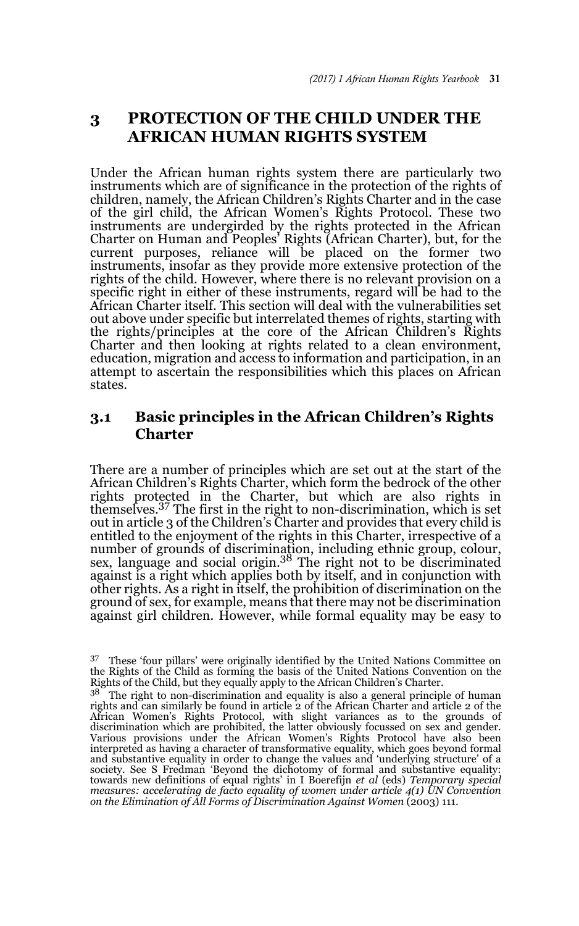## **3 PROTECTION OF THE CHILD UNDER THE AFRICAN HUMAN RIGHTS SYSTEM**

Under the African human rights system there are particularly two instruments which are of significance in the protection of the rights of children, namely, the African Children's Rights Charter and in the case of the girl child, the African Women's Rights Protocol. These two instruments are undergirded by the rights protected in the African Charter on Human and Peoples' Rights (African Charter), but, for the current purposes, reliance will be placed on the former two instruments, insofar as they provide more extensive protection of the rights of the child. However, where there is no relevant provision on a specific right in either of these instruments, regard will be had to the African Charter itself. This section will deal with the vulnerabilities set out above under specific but interrelated themes of rights, starting with the rights/principles at the core of the African Children's Rights Charter and then looking at rights related to a clean environment, education, migration and access to information and participation, in an attempt to ascertain the responsibilities which this places on African states.

### **3.1 Basic principles in the African Children's Rights Charter**

There are a number of principles which are set out at the start of the African Children's Rights Charter, which form the bedrock of the other rights protected in the Charter, but which are also rights in themselves.37 The first in the right to non-discrimination, which is set out in article 3 of the Children's Charter and provides that every child is entitled to the enjoyment of the rights in this Charter, irrespective of a number of grounds of discrimination, including ethnic group, colour, sex, language and social origin.38 The right not to be discriminated against is a right which applies both by itself, and in conjunction with other rights. As a right in itself, the prohibition of discrimination on the ground of sex, for example, means that there may not be discrimination against girl children. However, while formal equality may be easy to

<sup>37</sup> These 'four pillars' were originally identified by the United Nations Committee on the Rights of the Child as forming the basis of the United Nations Convention on the Rights of the Child, but they equally apply to the African Children's Charter.

 $38$ <sup>38</sup> The right to non-discrimination and equality is also a general principle of human rights and can similarly be found in article 2 of the African Charter and article 2 of the African Women's Rights Protocol, with slight variances as to the grounds of discrimination which are prohibited, the latter obviously focussed on sex and gender. Various provisions under the African Women's Rights Protocol have also been interpreted as having a character of transformative equality, which goes beyond formal and substantive equality in order to change the values and 'underlying structure' of a society. See S Fredman 'Beyond the dichotomy of formal and substantive equality: towards new definitions of equal rights' in I Boerefijn *et al* (eds) *Temporary special measures: accelerating de facto equality of women under article 4(1) UN Convention on the Elimination of All Forms of Discrimination Against Women* (2003) 111.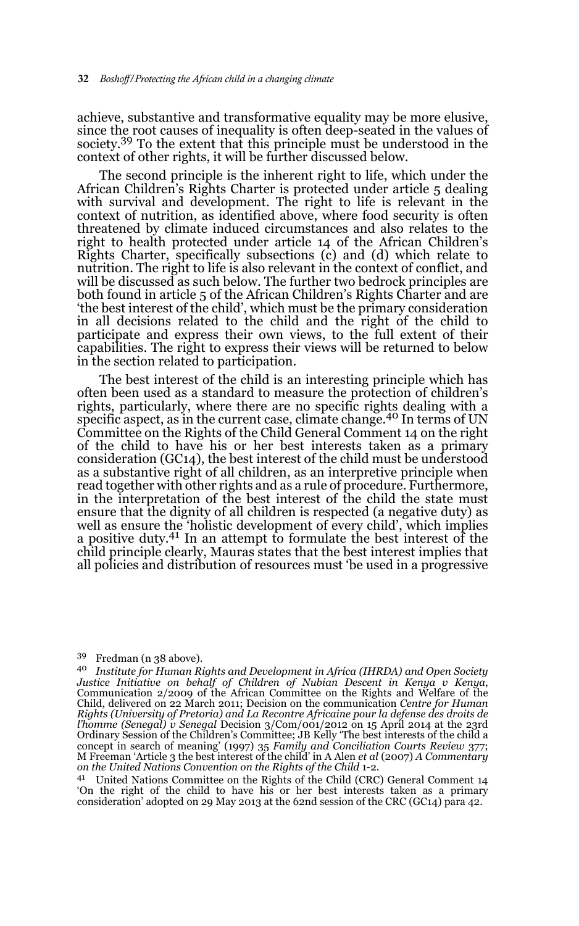achieve, substantive and transformative equality may be more elusive, since the root causes of inequality is often deep-seated in the values of society.<sup>39</sup> To the extent that this principle must be understood in the context of other rights, it will be further discussed below.

The second principle is the inherent right to life, which under the African Children's Rights Charter is protected under article 5 dealing with survival and development. The right to life is relevant in the context of nutrition, as identified above, where food security is often threatened by climate induced circumstances and also relates to the right to health protected under article 14 of the African Children's Rights Charter, specifically subsections (c) and (d) which relate to nutrition. The right to life is also relevant in the context of conflict, and will be discussed as such below. The further two bedrock principles are both found in article 5 of the African Children's Rights Charter and are 'the best interest of the child', which must be the primary consideration in all decisions related to the child and the right of the child to participate and express their own views, to the full extent of their capabilities. The right to express their views will be returned to below in the section related to participation.

The best interest of the child is an interesting principle which has often been used as a standard to measure the protection of children's rights, particularly, where there are no specific rights dealing with a specific aspect, as in the current case, climate change.<sup>40</sup> In terms of UN Committee on the Rights of the Child General Comment 14 on the right of the child to have his or her best interests taken as a primary consideration (GC14), the best interest of the child must be understood as a substantive right of all children, as an interpretive principle when read together with other rights and as a rule of procedure. Furthermore, in the interpretation of the best interest of the child the state must ensure that the dignity of all children is respected (a negative duty) as well as ensure the 'holistic development of every child', which implies a positive duty.<sup>41</sup> In an attempt to formulate the best interest of the child principle clearly, Mauras states that the best interest implies that all policies and distribution of resources must 'be used in a progressive

#### <sup>39</sup> Fredman (n 38 above).

<sup>41</sup> United Nations Committee on the Rights of the Child (CRC) General Comment 14 'On the right of the child to have his or her best interests taken as a primary consideration' adopted on 29 May 2013 at the 62nd session of the CRC (GC14) para 42.

<sup>40</sup> *Institute for Human Rights and Development in Africa (IHRDA) and Open Society Justice Initiative on behalf of Children of Nubian Descent in Kenya v Kenya*, Communication 2/2009 of the African Committee on the Rights and Welfare of the Child, delivered on 22 March 2011; Decision on the communication *Centre for Human Rights (University of Pretoria) and La Recontre Africaine pour la defense des droits de l'homme (Senegal) v Senegal* Decision 3/Com/001/2012 on 15 April 2014 at the 23rd Ordinary Session of the Children's Committee; JB Kelly 'The best interests of the child a concept in search of meaning' (1997) 35 *Family and Conciliation Courts Review* 377; M Freeman 'Article 3 the best interest of the child' in A Alen *et al* (2007) *A Commentary on the United Nations Convention on the Rights of the Child* 1-2.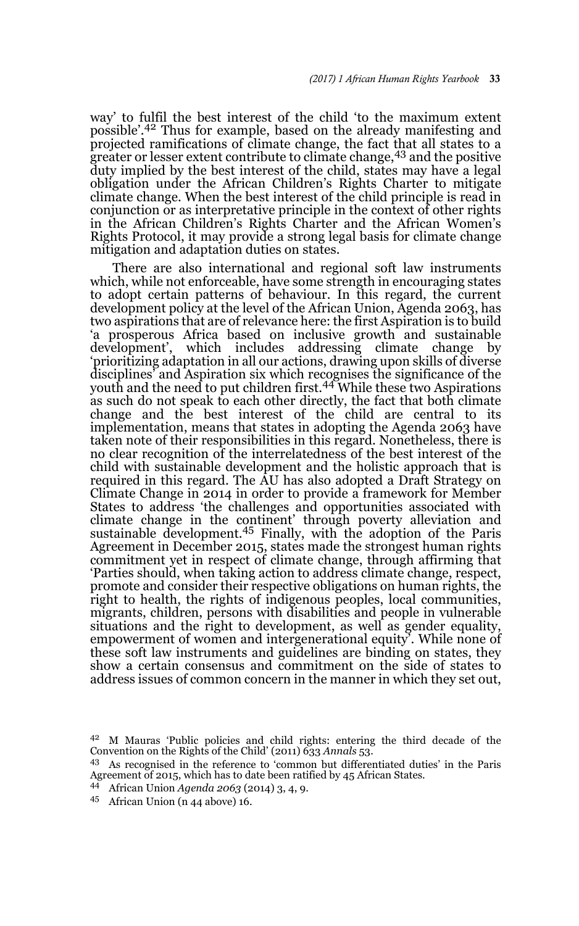way' to fulfil the best interest of the child 'to the maximum extent possible'.42 Thus for example, based on the already manifesting and projected ramifications of climate change, the fact that all states to a greater or lesser extent contribute to climate change,<sup>43</sup> and the positive duty implied by the best interest of the child, states may have a legal obligation under the African Children's Rights Charter to mitigate climate change. When the best interest of the child principle is read in conjunction or as interpretative principle in the context of other rights in the African Children's Rights Charter and the African Women's Rights Protocol, it may provide a strong legal basis for climate change mitigation and adaptation duties on states.

There are also international and regional soft law instruments which, while not enforceable, have some strength in encouraging states to adopt certain patterns of behaviour. In this regard, the current development policy at the level of the African Union, Agenda 2063, has two aspirations that are of relevance here: the first Aspiration is to build 'a prosperous Africa based on inclusive growth and sustainable development', which includes addressing climate change by 'prioritizing adaptation in all our actions, drawing upon skills of diverse disciplines' and Aspiration six which recognises the significance of the youth and the need to put children first.<sup>44</sup> While these two Aspirations as such do not speak to each other directly, the fact that both climate change and the best interest of the child are central to its implementation, means that states in adopting the Agenda 2063 have taken note of their responsibilities in this regard. Nonetheless, there is no clear recognition of the interrelatedness of the best interest of the child with sustainable development and the holistic approach that is required in this regard. The AU has also adopted a Draft Strategy on Climate Change in 2014 in order to provide a framework for Member States to address 'the challenges and opportunities associated with climate change in the continent' through poverty alleviation and sustainable development.<sup>45</sup> Finally, with the adoption of the Paris Agreement in December 2015, states made the strongest human rights commitment yet in respect of climate change, through affirming that 'Parties should, when taking action to address climate change, respect, promote and consider their respective obligations on human rights, the right to health, the rights of indigenous peoples, local communities, migrants, children, persons with disabilities and people in vulnerable situations and the right to development, as well as gender equality, empowerment of women and intergenerational equity'. While none of these soft law instruments and guidelines are binding on states, they show a certain consensus and commitment on the side of states to address issues of common concern in the manner in which they set out,

<sup>45</sup> African Union (n 44 above) 16.

<sup>42</sup> M Mauras 'Public policies and child rights: entering the third decade of the Convention on the Rights of the Child' (2011) 633 *Annals* 53.

<sup>43</sup> As recognised in the reference to 'common but differentiated duties' in the Paris Agreement of 2015, which has to date been ratified by 45 African States.

<sup>44</sup> African Union *Agenda 2063* (2014) 3, 4, 9.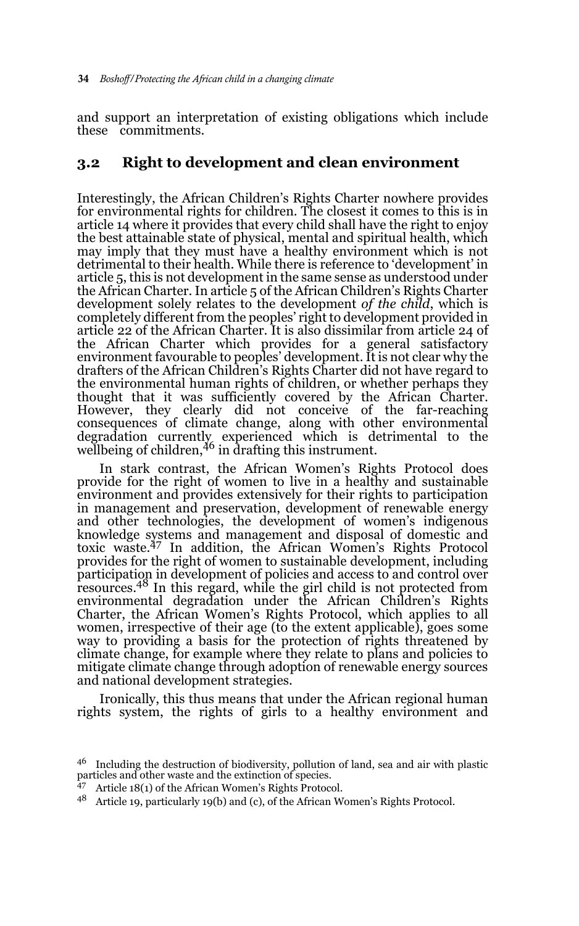and support an interpretation of existing obligations which include these commitments.

## **3.2 Right to development and clean environment**

Interestingly, the African Children's Rights Charter nowhere provides for environmental rights for children. The closest it comes to this is in article 14 where it provides that every child shall have the right to enjoy the best attainable state of physical, mental and spiritual health, which may imply that they must have a healthy environment which is not detrimental to their health. While there is reference to 'development' in article 5, this is not development in the same sense as understood under the African Charter. In article 5 of the African Children's Rights Charter development solely relates to the development *of the child*, which is completely different from the peoples' right to development provided in article 22 of the African Charter. It is also dissimilar from article 24 of the African Charter which provides for a general satisfactory environment favourable to peoples' development. It is not clear why the drafters of the African Children's Rights Charter did not have regard to the environmental human rights of children, or whether perhaps they thought that it was sufficiently covered by the African Charter. However, they clearly did not conceive of the far-reaching consequences of climate change, along with other environmental degradation currently experienced which is detrimental to the<br>wellbeing of children,<sup>46</sup> in drafting this instrument.

In stark contrast, the African Women's Rights Protocol does provide for the right of women to live in a healthy and sustainable environment and provides extensively for their rights to participation in management and preservation, development of renewable energy and other technologies, the development of women's indigenous knowledge systems and management and disposal of domestic and toxic waste.47 In addition, the African Women's Rights Protocol provides for the right of women to sustainable development, including participation in development of policies and access to and control over resources.48 In this regard, while the girl child is not protected from environmental degradation under the African Children's Rights Charter, the African Women's Rights Protocol, which applies to all women, irrespective of their age (to the extent applicable), goes some way to providing a basis for the protection of rights threatened by climate change, for example where they relate to plans and policies to mitigate climate change through adoption of renewable energy sources and national development strategies.

Ironically, this thus means that under the African regional human rights system, the rights of girls to a healthy environment and

<sup>46</sup> Including the destruction of biodiversity, pollution of land, sea and air with plastic particles and other waste and the extinction of species.

<sup>47</sup> Article 18(1) of the African Women's Rights Protocol.

<sup>48</sup> Article 19, particularly 19(b) and (c), of the African Women's Rights Protocol.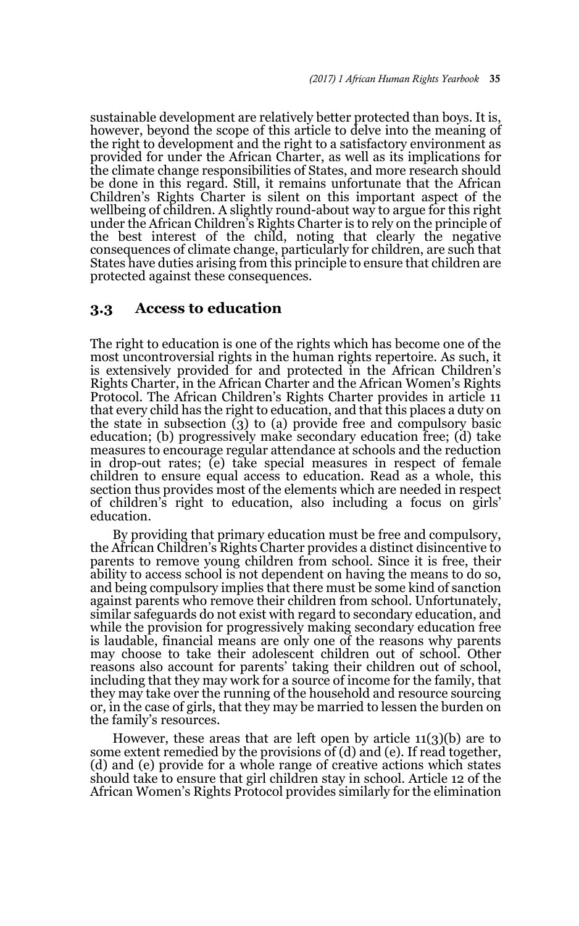sustainable development are relatively better protected than boys. It is, however, beyond the scope of this article to delve into the meaning of the right to development and the right to a satisfactory environment as provided for under the African Charter, as well as its implications for the climate change responsibilities of States, and more research should be done in this regard. Still, it remains unfortunate that the African Children's Rights Charter is silent on this important aspect of the wellbeing of children. A slightly round-about way to argue for this right under the African Children's Rights Charter is to rely on the principle of the best interest of the child, noting that clearly the negative consequences of climate change, particularly for children, are such that States have duties arising from this principle to ensure that children are protected against these consequences.

#### **3.3 Access to education**

The right to education is one of the rights which has become one of the most uncontroversial rights in the human rights repertoire. As such, it is extensively provided for and protected in the African Children's Rights Charter, in the African Charter and the African Women's Rights Protocol. The African Children's Rights Charter provides in article 11 that every child has the right to education, and that this places a duty on the state in subsection (3) to (a) provide free and compulsory basic education; (b) progressively make secondary education free; (d) take measures to encourage regular attendance at schools and the reduction in drop-out rates; (e) take special measures in respect of female children to ensure equal access to education. Read as a whole, this section thus provides most of the elements which are needed in respect of children's right to education, also including a focus on girls' education.

By providing that primary education must be free and compulsory, the African Children's Rights Charter provides a distinct disincentive to parents to remove young children from school. Since it is free, their ability to access school is not dependent on having the means to do so, and being compulsory implies that there must be some kind of sanction against parents who remove their children from school. Unfortunately, similar safeguards do not exist with regard to secondary education, and while the provision for progressively making secondary education free is laudable, financial means are only one of the reasons why parents may choose to take their adolescent children out of school. Other reasons also account for parents' taking their children out of school, including that they may work for a source of income for the family, that they may take over the running of the household and resource sourcing or, in the case of girls, that they may be married to lessen the burden on the family's resources.

However, these areas that are left open by article 11(3)(b) are to some extent remedied by the provisions of (d) and (e). If read together, (d) and (e) provide for a whole range of creative actions which states should take to ensure that girl children stay in school. Article 12 of the African Women's Rights Protocol provides similarly for the elimination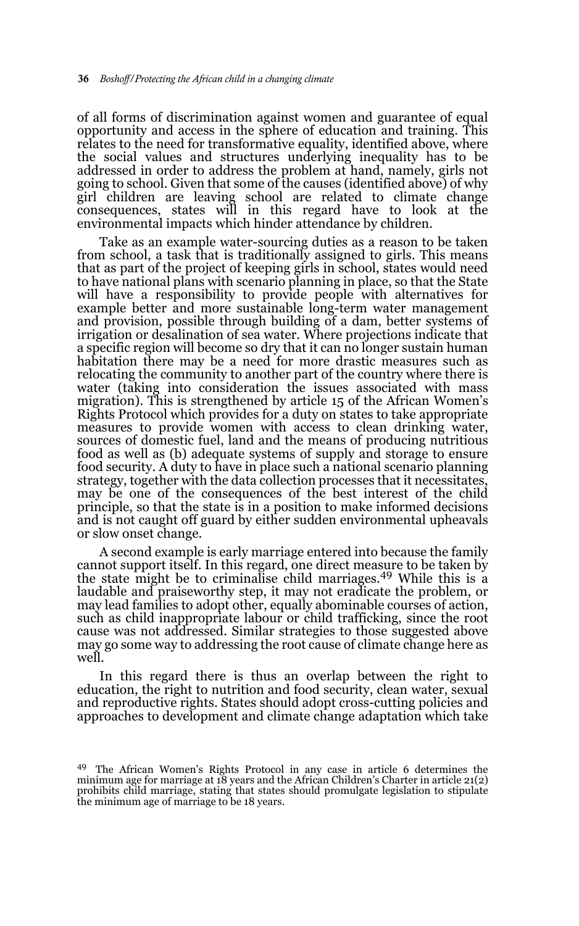of all forms of discrimination against women and guarantee of equal opportunity and access in the sphere of education and training. This relates to the need for transformative equality, identified above, where the social values and structures underlying inequality has to be addressed in order to address the problem at hand, namely, girls not going to school. Given that some of the causes (identified above) of why girl children are leaving school are related to climate change consequences, states will in this regard have to look at the environmental impacts which hinder attendance by children.

Take as an example water-sourcing duties as a reason to be taken from school, a task that is traditionally assigned to girls. This means that as part of the project of keeping girls in school, states would need to have national plans with scenario planning in place, so that the State will have a responsibility to provide people with alternatives for example better and more sustainable long-term water management and provision, possible through building of a dam, better systems of irrigation or desalination of sea water. Where projections indicate that a specific region will become so dry that it can no longer sustain human habitation there may be a need for more drastic measures such as relocating the community to another part of the country where there is water (taking into consideration the issues associated with mass migration). This is strengthened by article 15 of the African Women's Rights Protocol which provides for a duty on states to take appropriate measures to provide women with access to clean drinking water, sources of domestic fuel, land and the means of producing nutritious food as well as (b) adequate systems of supply and storage to ensure food security. A duty to have in place such a national scenario planning strategy, together with the data collection processes that it necessitates, may be one of the consequences of the best interest of the child principle, so that the state is in a position to make informed decisions and is not caught off guard by either sudden environmental upheavals or slow onset change.

A second example is early marriage entered into because the family cannot support itself. In this regard, one direct measure to be taken by the state might be to criminalise child marriages.<sup>49</sup> While this is a laudable and praiseworthy step, it may not eradicate the problem, or may lead families to adopt other, equally abominable courses of action, such as child inappropriate labour or child trafficking, since the root cause was not addressed. Similar strategies to those suggested above may go some way to addressing the root cause of climate change here as well.

In this regard there is thus an overlap between the right to education, the right to nutrition and food security, clean water, sexual and reproductive rights. States should adopt cross-cutting policies and approaches to development and climate change adaptation which take

<sup>49</sup> The African Women's Rights Protocol in any case in article 6 determines the minimum age for marriage at 18 years and the African Children's Charter in article 21(2) prohibits child marriage, stating that states should promulgate legislation to stipulate the minimum age of marriage to be 18 years.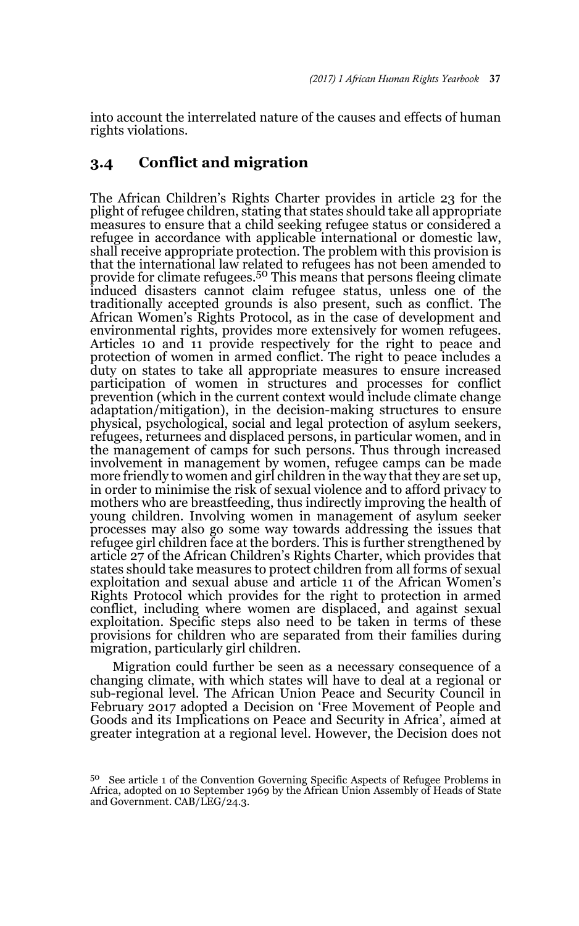into account the interrelated nature of the causes and effects of human rights violations.

## **3.4 Conflict and migration**

The African Children's Rights Charter provides in article 23 for the plight of refugee children, stating that states should take all appropriate measures to ensure that a child seeking refugee status or considered a refugee in accordance with applicable international or domestic law, shall receive appropriate protection. The problem with this provision is that the international law related to refugees has not been amended to provide for climate refugees.50 This means that persons fleeing climate induced disasters cannot claim refugee status, unless one of the traditionally accepted grounds is also present, such as conflict. The African Women's Rights Protocol, as in the case of development and environmental rights, provides more extensively for women refugees. Articles 10 and 11 provide respectively for the right to peace and protection of women in armed conflict. The right to peace includes a duty on states to take all appropriate measures to ensure increased participation of women in structures and processes for conflict prevention (which in the current context would include climate change adaptation/mitigation), in the decision-making structures to ensure physical, psychological, social and legal protection of asylum seekers, refugees, returnees and displaced persons, in particular women, and in the management of camps for such persons. Thus through increased involvement in management by women, refugee camps can be made more friendly to women and girl children in the way that they are set up, in order to minimise the risk of sexual violence and to afford privacy to mothers who are breastfeeding, thus indirectly improving the health of young children. Involving women in management of asylum seeker processes may also go some way towards addressing the issues that refugee girl children face at the borders. This is further strengthened by article 27 of the African Children's Rights Charter, which provides that states should take measures to protect children from all forms of sexual exploitation and sexual abuse and article 11 of the African Women's Rights Protocol which provides for the right to protection in armed conflict, including where women are displaced, and against sexual exploitation. Specific steps also need to be taken in terms of these provisions for children who are separated from their families during migration, particularly girl children.

Migration could further be seen as a necessary consequence of a changing climate, with which states will have to deal at a regional or sub-regional level. The African Union Peace and Security Council in February 2017 adopted a Decision on 'Free Movement of People and Goods and its Implications on Peace and Security in Africa', aimed at greater integration at a regional level. However, the Decision does not

<sup>50</sup> See article 1 of the Convention Governing Specific Aspects of Refugee Problems in Africa, adopted on 10 September 1969 by the African Union Assembly of Heads of State and Government. CAB/LEG/24.3.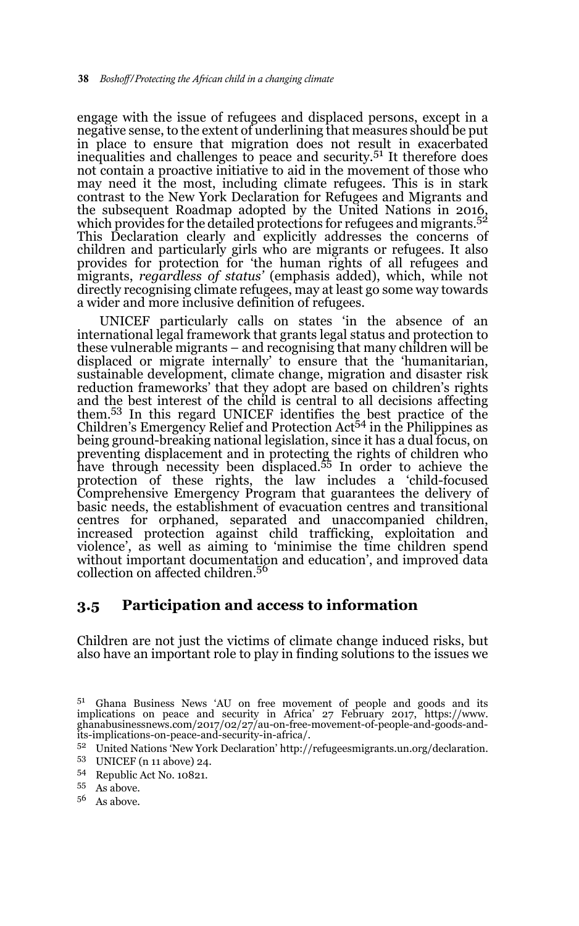engage with the issue of refugees and displaced persons, except in a negative sense, to the extent of underlining that measures should be put in place to ensure that migration does not result in exacerbated inequalities and challenges to peace and security.<sup>51</sup> It therefore does not contain a proactive initiative to aid in the movement of those who may need it the most, including climate refugees. This is in stark contrast to the New York Declaration for Refugees and Migrants and the subsequent Roadmap adopted by the United Nations in 2016, which provides for the detailed protections for refugees and migrants.<sup>52</sup> This Declaration clearly and explicitly addresses the concerns of children and particularly girls who are migrants or refugees. It also provides for protection for 'the human rights of all refugees and migrants, *regardless of status'* (emphasis added), which, while not directly recognising climate refugees, may at least go some way towards a wider and more inclusive definition of refugees.

UNICEF particularly calls on states 'in the absence of an international legal framework that grants legal status and protection to these vulnerable migrants – and recognising that many children will be displaced or migrate internally' to ensure that the 'humanitarian, sustainable development, climate change, migration and disaster risk reduction frameworks' that they adopt are based on children's rights and the best interest of the child is central to all decisions affecting them.53 In this regard UNICEF identifies the best practice of the Children's Emergency Relief and Protection Act<sup>54</sup> in the Philippines as being ground-breaking national legislation, since it has a dual focus, on preventing displacement and in protecting the rights of children who have through necessity been displaced.<sup>55</sup> In order to achieve the protection of these rights, the law includes a 'child-focused Comprehensive Emergency Program that guarantees the delivery of basic needs, the establishment of evacuation centres and transitional centres for orphaned, separated and unaccompanied children, increased protection against child trafficking, exploitation and violence', as well as aiming to 'minimise the time children spend without important documentation and education', and improved data collection on affected children.<sup>56</sup>

#### **3.5 Participation and access to information**

Children are not just the victims of climate change induced risks, but also have an important role to play in finding solutions to the issues we

- <sup>52</sup> United Nations 'New York Declaration' http://refugeesmigrants.un.org/declaration.
- <sup>53</sup> UNICEF (n 11 above) 24.
- <sup>54</sup> Republic Act No. 10821.
- <sup>55</sup> As above.
- <sup>56</sup> As above.

<sup>5&</sup>lt;sup>1</sup> Ghana Business News 'AU on free movement of people and goods and its implications on peace and security in Africa' 27 February 2017, https://www. ghanabusinessnews.com/2017/02/27/au-on-free-movement-of-people-and-goods-andits-implications-on-peace-and-security-in-africa/.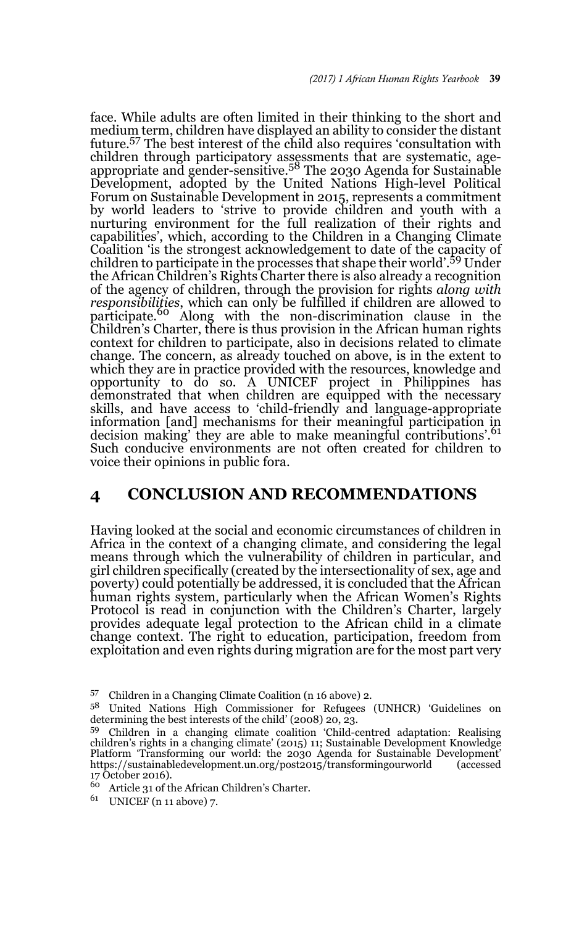face. While adults are often limited in their thinking to the short and medium term, children have displayed an ability to consider the distant future.57 The best interest of the child also requires 'consultation with children through participatory assessments that are systematic, age-<br>appropriate and gender-sensitive.<sup>58</sup> The 2030 Agenda for Sustainable Development, adopted by the United Nations High-level Political Forum on Sustainable Development in 2015, represents a commitment by world leaders to 'strive to provide children and youth with a nurturing environment for the full realization of their rights and capabilities', which, according to the Children in a Changing Climate Coalition 'is the strongest acknowledgement to date of the capacity of children to participate in the processes that shape their world'.59 Under the African Children's Rights Charter there is also already a recognition of the agency of children, through the provision for rights *along with responsibilities*, which can only be fulfilled if children are allowed to participate.<sup>60</sup> Along with the non-discrimination clause in the Children's Charter, there is thus provision in the African human rights context for children to participate, also in decisions related to climate change. The concern, as already touched on above, is in the extent to which they are in practice provided with the resources, knowledge and opportunity to do so. A UNICEF project in Philippines has demonstrated that when children are equipped with the necessary skills, and have access to 'child-friendly and language-appropriate information [and] mechanisms for their meaningful participation in decision making' they are able to make meaningful contributions'.61 Such conducive environments are not often created for children to voice their opinions in public fora.

#### **4 CONCLUSION AND RECOMMENDATIONS**

Having looked at the social and economic circumstances of children in Africa in the context of a changing climate, and considering the legal means through which the vulnerability of children in particular, and girl children specifically (created by the intersectionality of sex, age and poverty) could potentially be addressed, it is concluded that the African human rights system, particularly when the African Women's Rights Protocol is read in conjunction with the Children's Charter, largely provides adequate legal protection to the African child in a climate change context. The right to education, participation, freedom from exploitation and even rights during migration are for the most part very

<sup>57</sup> Children in a Changing Climate Coalition (n 16 above) 2.

<sup>58</sup> United Nations High Commissioner for Refugees (UNHCR) 'Guidelines on determining the best interests of the child' (2008) 20, 23.

<sup>59</sup> Children in a changing climate coalition 'Child-centred adaptation: Realising children's rights in a changing climate' (2015) 11; Sustainable Development Knowledge Platform 'Transforming our world: the 2030 Agenda for Sustainable Development' https://sustainabledevelopment.un.org/post2015/transformingourworld (accessed 17 October 2016).

<sup>60</sup> Article 31 of the African Children's Charter.

<sup>61</sup> UNICEF (n 11 above) 7.